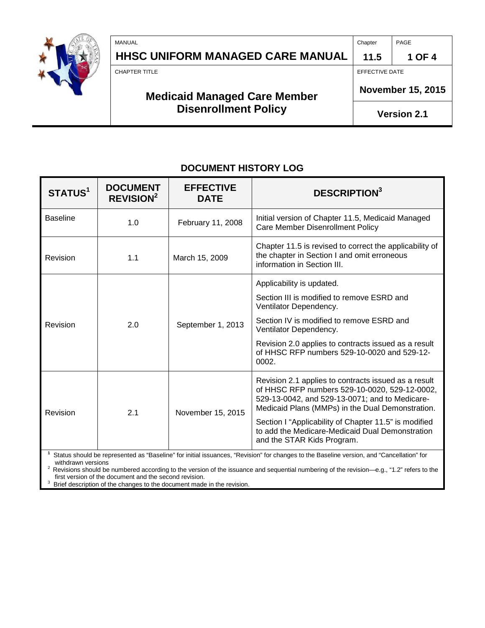

| MANUAL                              | Chapter                  | PAGE               |
|-------------------------------------|--------------------------|--------------------|
| HHSC UNIFORM MANAGED CARE MANUAL    | 11.5                     | 1 OF 4             |
| <b>CHAPTER TITLE</b>                | EFFECTIVE DATE           |                    |
| <b>Medicaid Managed Care Member</b> | <b>November 15, 2015</b> |                    |
| <b>Disenrollment Policy</b>         |                          | <b>Version 2.1</b> |

# **DOCUMENT HISTORY LOG**

| <b>STATUS1</b>  | <b>DOCUMENT</b><br><b>REVISION<sup>2</sup></b> | <b>EFFECTIVE</b><br><b>DATE</b> | <b>DESCRIPTION</b> <sup>3</sup>                                                                                                                                                                             |
|-----------------|------------------------------------------------|---------------------------------|-------------------------------------------------------------------------------------------------------------------------------------------------------------------------------------------------------------|
| <b>Baseline</b> | 1.0                                            | February 11, 2008               | Initial version of Chapter 11.5, Medicaid Managed<br>Care Member Disenrollment Policy                                                                                                                       |
| Revision        | 1.1                                            | March 15, 2009                  | Chapter 11.5 is revised to correct the applicability of<br>the chapter in Section I and omit erroneous<br>information in Section III.                                                                       |
|                 | 2.0                                            | September 1, 2013               | Applicability is updated.                                                                                                                                                                                   |
|                 |                                                |                                 | Section III is modified to remove ESRD and<br>Ventilator Dependency.                                                                                                                                        |
| Revision        |                                                |                                 | Section IV is modified to remove ESRD and<br>Ventilator Dependency.                                                                                                                                         |
|                 |                                                |                                 | Revision 2.0 applies to contracts issued as a result<br>of HHSC RFP numbers 529-10-0020 and 529-12-<br>0002.                                                                                                |
| Revision        | 2.1                                            | November 15, 2015               | Revision 2.1 applies to contracts issued as a result<br>of HHSC RFP numbers 529-10-0020, 529-12-0002,<br>529-13-0042, and 529-13-0071; and to Medicare-<br>Medicaid Plans (MMPs) in the Dual Demonstration. |
|                 |                                                |                                 | Section I "Applicability of Chapter 11.5" is modified<br>to add the Medicare-Medicaid Dual Demonstration<br>and the STAR Kids Program.                                                                      |
| $1 - 1$         |                                                |                                 |                                                                                                                                                                                                             |

**1** Status should be represented as "Baseline" for initial issuances, "Revision" for changes to the Baseline version, and "Cancellation" for

withdrawn versions<br><sup>2</sup> Revisions should be numbered according to the version of the issuance and sequential numbering of the revision—e.g., "1.2" refers to the first version of the document and the second revision.<br><sup>3</sup> Priof description of the changes to the document mode

Brief description of the changes to the document made in the revision.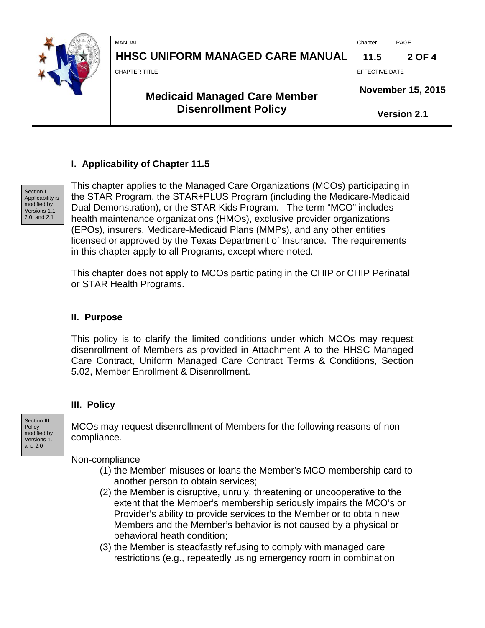|  | MANUAL                                                             | Chapter                  | PAGE   |
|--|--------------------------------------------------------------------|--------------------------|--------|
|  | <b>HHSC UNIFORM MANAGED CARE MANUAL</b>                            | 11.5                     | 2 OF 4 |
|  | <b>CHAPTER TITLE</b>                                               | EFFECTIVE DATE           |        |
|  | <b>Medicaid Managed Care Member</b><br><b>Disenrollment Policy</b> | <b>November 15, 2015</b> |        |
|  |                                                                    | <b>Version 2.1</b>       |        |

## **I. Applicability of Chapter 11.5**



This chapter applies to the Managed Care Organizations (MCOs) participating in the STAR Program, the STAR+PLUS Program (including the Medicare-Medicaid Dual Demonstration), or the STAR Kids Program. The term "MCO" includes health maintenance organizations (HMOs), exclusive provider organizations (EPOs), insurers, Medicare-Medicaid Plans (MMPs), and any other entities licensed or approved by the Texas Department of Insurance. The requirements in this chapter apply to all Programs, except where noted.

This chapter does not apply to MCOs participating in the CHIP or CHIP Perinatal or STAR Health Programs.

### **II. Purpose**

This policy is to clarify the limited conditions under which MCOs may request disenrollment of Members as provided in Attachment A to the HHSC Managed Care Contract, Uniform Managed Care Contract Terms & Conditions, Section 5.02, Member Enrollment & Disenrollment.

#### **III. Policy**

Section III Policy modified by Versions 1.1 and 2.0

MCOs may request disenrollment of Members for the following reasons of noncompliance.

Non-compliance

- (1) the Member' misuses or loans the Member's MCO membership card to another person to obtain services;
- (2) the Member is disruptive, unruly, threatening or uncooperative to the extent that the Member's membership seriously impairs the MCO's or Provider's ability to provide services to the Member or to obtain new Members and the Member's behavior is not caused by a physical or behavioral heath condition;
- (3) the Member is steadfastly refusing to comply with managed care restrictions (e.g., repeatedly using emergency room in combination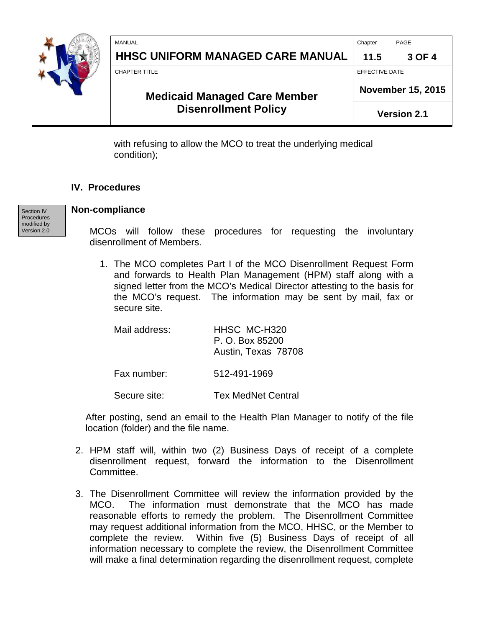|  | MANUAL                                                             | Chapter                  | PAGE   |
|--|--------------------------------------------------------------------|--------------------------|--------|
|  | <b>HHSC UNIFORM MANAGED CARE MANUAL</b>                            | 11.5                     | 3 OF 4 |
|  | <b>CHAPTER TITLE</b>                                               | <b>EFFECTIVE DATE</b>    |        |
|  | <b>Medicaid Managed Care Member</b><br><b>Disenrollment Policy</b> | <b>November 15, 2015</b> |        |
|  |                                                                    | <b>Version 2.1</b>       |        |
|  |                                                                    |                          |        |

with refusing to allow the MCO to treat the underlying medical condition);

#### **IV. Procedures**

Section IV Procedures modified by Version 2.0

#### **Non-compliance**

MCOs will follow these procedures for requesting the involuntary disenrollment of Members.

1. The MCO completes Part I of the MCO Disenrollment Request Form and forwards to Health Plan Management (HPM) staff along with a signed letter from the MCO's Medical Director attesting to the basis for the MCO's request. The information may be sent by mail, fax or secure site.

Mail address: HHSC MC-H320 P. O. Box 85200 Austin, Texas 78708

Fax number: 512-491-1969

Secure site: Tex MedNet Central

After posting, send an email to the Health Plan Manager to notify of the file location (folder) and the file name.

- 2. HPM staff will, within two (2) Business Days of receipt of a complete disenrollment request, forward the information to the Disenrollment Committee.
- 3. The Disenrollment Committee will review the information provided by the MCO. The information must demonstrate that the MCO has made reasonable efforts to remedy the problem. The Disenrollment Committee may request additional information from the MCO, HHSC, or the Member to complete the review. Within five (5) Business Days of receipt of all information necessary to complete the review, the Disenrollment Committee will make a final determination regarding the disenrollment request, complete